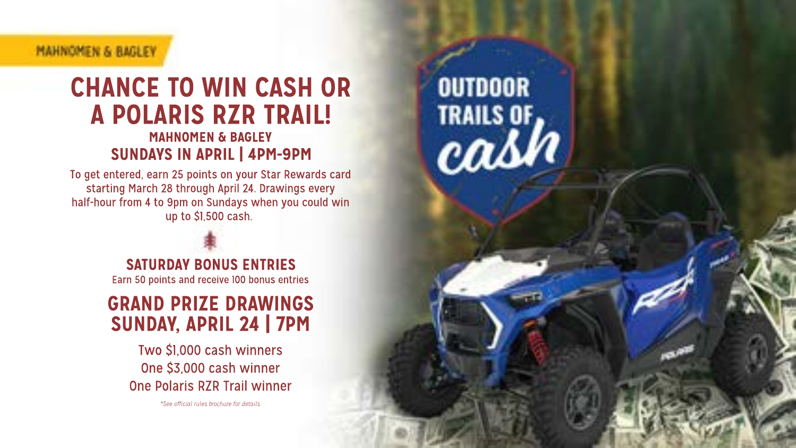### **MAHNOMEN & RAGEFY**

## **CHANCE TO WIN CASH OR A POLARIS RZR TRAIL! MAHNOMEN & RAGLEY SUNDAYS IN APRIL | 4PM-9PM**

**OUTDOOR** 

**TRAILS OF** cash

To get entered, earn 25 points on your Star Rewards card starting March 28 through April 24. Drawings every half-hour from 4 to 9pm on Sundays when you could win  $\sin$  to \$1.500 cash

> **SATURDAY BONUS ENTRIES** Earn 50 points and receive 100 bonus entries

**GRAND PRIZE DRAWINGS SUNDAY, APRIL 24 | 7PM** 

Two \$1,000 cash winners One \$3,000 cash winner One Polaris RZR Trail winner

"See official miss Amchive for details.